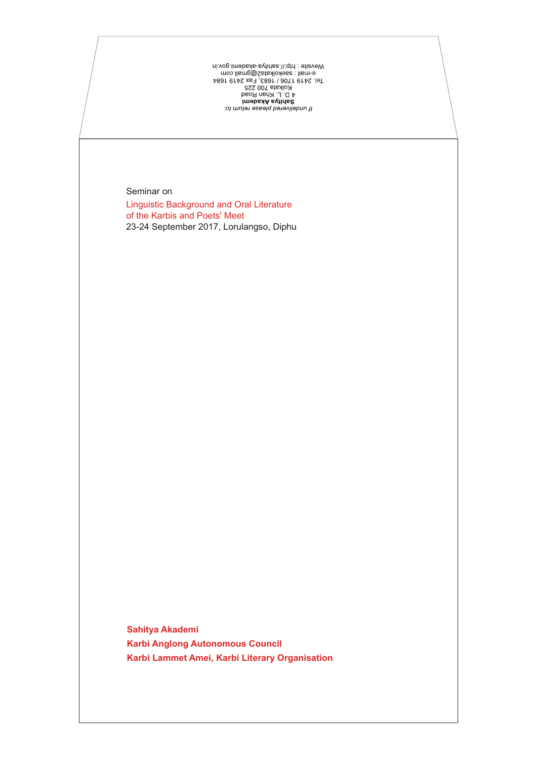Wevsite : htp://.sahitya-akademi.gov.in :ot muten easeld benevilebrul 1<br>
imebra**A syries**<br>
is a sac in the above that<br>
beo*A* net L. Altake<br>
beod net L. J. Of the above that<br>
beod net L. J. Of the Altake<br>
beod net L. J. Of the Altake<br>
on the S. lism-<br>
and the s

Seminar on

23-24 September 2017, Lorulangso, Diphu Linguistic Background and Oral Literature of the Karbis and Poets' Meet

**Sahitya Akademi Karbi Anglong Autonomous Council Karbi Lammet Amei, Karbi Literary Organisation**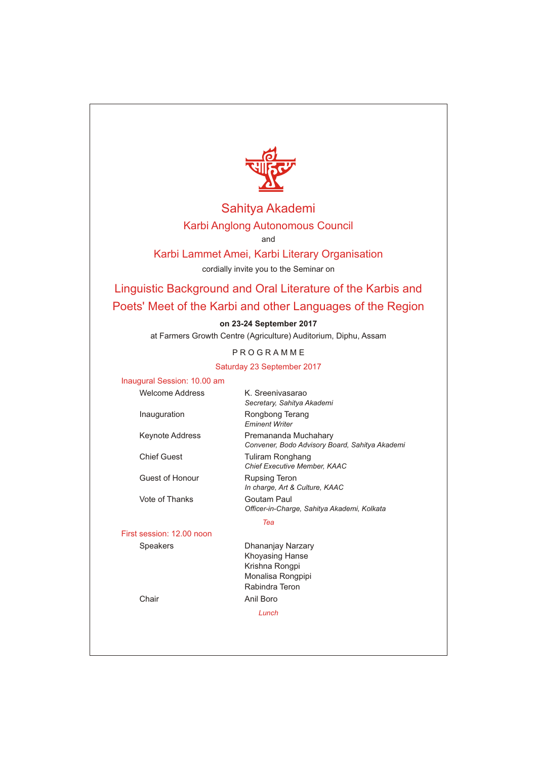

# Sahitya Akademi Karbi Anglong Autonomous Council

and

## Karbi Lammet Amei, Karbi Literary Organisation cordially invite you to the Seminar on

Linguistic Background and Oral Literature of the Karbis and Poets' Meet of the Karbi and other Languages of the Region

**on 23-24 September 2017**

at Farmers Growth Centre (Agriculture) Auditorium, Diphu, Assam

### P R O G R A M M E

#### Saturday 23 September 2017

Welcome Address K. Sreenivasarao

#### Inaugural Session: 10.00 am

*Secretary, Sahitya Akademi* Inauguration Rongbong Terang *Eminent Writer* Keynote Address Premananda Muchahary *Convener, Bodo Advisory Board, Sahitya Akademi*  Chief Guest **Tuliram Ronghang** *Chief Executive Member, KAAC* Guest of Honour Rupsing Teron *In charge, Art & Culture, KAAC* Vote of Thanks Goutam Paul *Officer-in-Charge, Sahitya Akademi, Kolkata*

*Tea*

First session: 12.00 noon

Speakers **Dhananjay Narzary** 

Khoyasing Hanse Krishna Rongpi Monalisa Rongpipi Rabindra Teron Chair **Anil Boro** 

*Lunch*